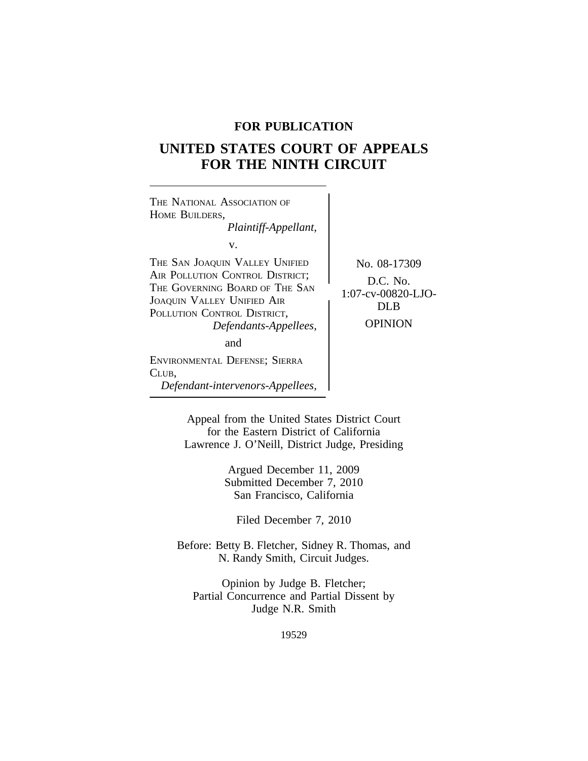# **FOR PUBLICATION**

# **UNITED STATES COURT OF APPEALS FOR THE NINTH CIRCUIT**

| THE NATIONAL ASSOCIATION OF<br>HOME BUILDERS,<br>Plaintiff-Appellant,                                                                                                                                  |                                                                          |
|--------------------------------------------------------------------------------------------------------------------------------------------------------------------------------------------------------|--------------------------------------------------------------------------|
| v.<br>THE SAN JOAQUIN VALLEY UNIFIED<br>AIR POLLUTION CONTROL DISTRICT;<br>THE GOVERNING BOARD OF THE SAN<br><b>JOAQUIN VALLEY UNIFIED AIR</b><br>POLLUTION CONTROL DISTRICT,<br>Defendants-Appellees, | No. 08-17309<br>D.C. No.<br>1:07-cv-00820-LJO-<br>DL B<br><b>OPINION</b> |
| and                                                                                                                                                                                                    |                                                                          |
| ENVIRONMENTAL DEFENSE; SIERRA<br>CLUB,<br>Defendant-intervenors-Appellees,                                                                                                                             |                                                                          |

Appeal from the United States District Court for the Eastern District of California Lawrence J. O'Neill, District Judge, Presiding

> Argued December 11, 2009 Submitted December 7, 2010 San Francisco, California

Filed December 7, 2010

Before: Betty B. Fletcher, Sidney R. Thomas, and N. Randy Smith, Circuit Judges.

Opinion by Judge B. Fletcher; Partial Concurrence and Partial Dissent by Judge N.R. Smith

19529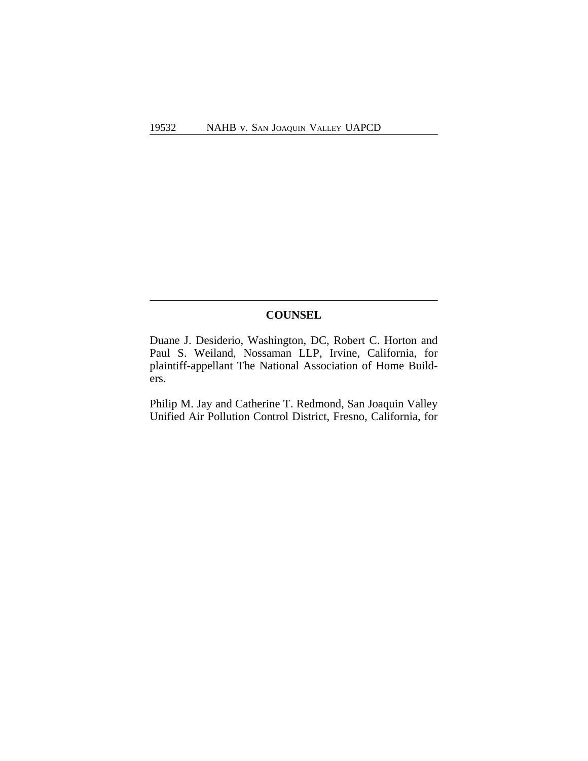# **COUNSEL**

Duane J. Desiderio, Washington, DC, Robert C. Horton and Paul S. Weiland, Nossaman LLP, Irvine, California, for plaintiff-appellant The National Association of Home Builders.

Philip M. Jay and Catherine T. Redmond, San Joaquin Valley Unified Air Pollution Control District, Fresno, California, for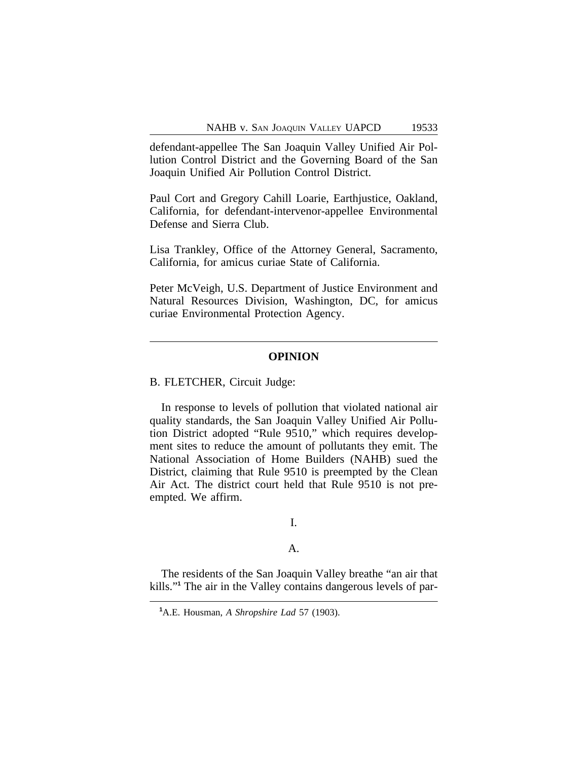defendant-appellee The San Joaquin Valley Unified Air Pollution Control District and the Governing Board of the San Joaquin Unified Air Pollution Control District.

Paul Cort and Gregory Cahill Loarie, Earthjustice, Oakland, California, for defendant-intervenor-appellee Environmental Defense and Sierra Club.

Lisa Trankley, Office of the Attorney General, Sacramento, California, for amicus curiae State of California.

Peter McVeigh, U.S. Department of Justice Environment and Natural Resources Division, Washington, DC, for amicus curiae Environmental Protection Agency.

#### **OPINION**

B. FLETCHER, Circuit Judge:

In response to levels of pollution that violated national air quality standards, the San Joaquin Valley Unified Air Pollution District adopted "Rule 9510," which requires development sites to reduce the amount of pollutants they emit. The National Association of Home Builders (NAHB) sued the District, claiming that Rule 9510 is preempted by the Clean Air Act. The district court held that Rule 9510 is not preempted. We affirm.

# I.

#### A.

The residents of the San Joaquin Valley breathe "an air that kills."<sup>1</sup> The air in the Valley contains dangerous levels of par-

**<sup>1</sup>**A.E. Housman, *A Shropshire Lad* 57 (1903).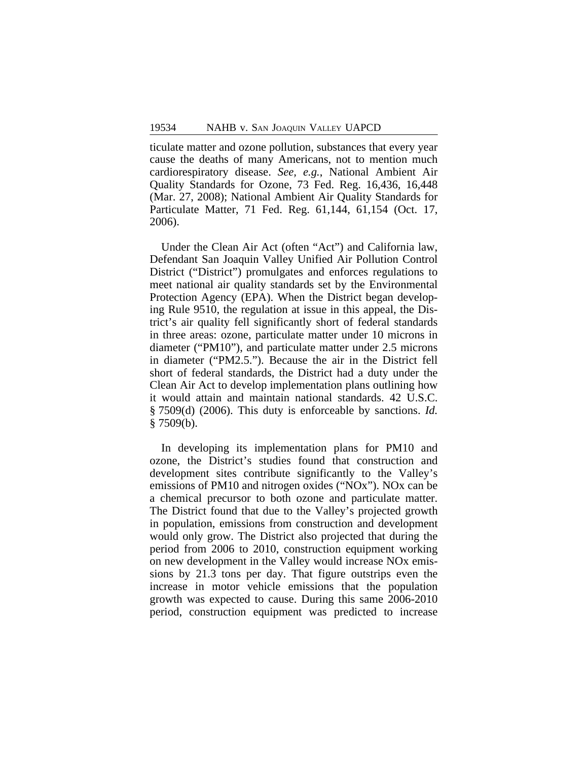ticulate matter and ozone pollution, substances that every year cause the deaths of many Americans, not to mention much cardiorespiratory disease. *See, e.g.*, National Ambient Air Quality Standards for Ozone, 73 Fed. Reg. 16,436, 16,448 (Mar. 27, 2008); National Ambient Air Quality Standards for Particulate Matter, 71 Fed. Reg. 61,144, 61,154 (Oct. 17, 2006).

Under the Clean Air Act (often "Act") and California law, Defendant San Joaquin Valley Unified Air Pollution Control District ("District") promulgates and enforces regulations to meet national air quality standards set by the Environmental Protection Agency (EPA). When the District began developing Rule 9510, the regulation at issue in this appeal, the District's air quality fell significantly short of federal standards in three areas: ozone, particulate matter under 10 microns in diameter ("PM10"), and particulate matter under 2.5 microns in diameter ("PM2.5."). Because the air in the District fell short of federal standards, the District had a duty under the Clean Air Act to develop implementation plans outlining how it would attain and maintain national standards. 42 U.S.C. § 7509(d) (2006). This duty is enforceable by sanctions. *Id.*  $§ 7509(b).$ 

In developing its implementation plans for PM10 and ozone, the District's studies found that construction and development sites contribute significantly to the Valley's emissions of PM10 and nitrogen oxides ("NOx"). NOx can be a chemical precursor to both ozone and particulate matter. The District found that due to the Valley's projected growth in population, emissions from construction and development would only grow. The District also projected that during the period from 2006 to 2010, construction equipment working on new development in the Valley would increase NOx emissions by 21.3 tons per day. That figure outstrips even the increase in motor vehicle emissions that the population growth was expected to cause. During this same 2006-2010 period, construction equipment was predicted to increase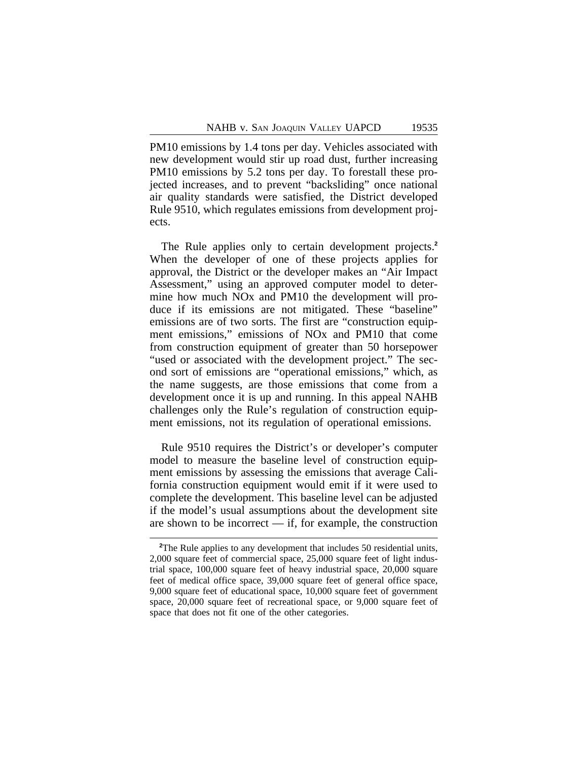PM10 emissions by 1.4 tons per day. Vehicles associated with new development would stir up road dust, further increasing PM10 emissions by 5.2 tons per day. To forestall these projected increases, and to prevent "backsliding" once national air quality standards were satisfied, the District developed Rule 9510, which regulates emissions from development projects.

The Rule applies only to certain development projects.**<sup>2</sup>** When the developer of one of these projects applies for approval, the District or the developer makes an "Air Impact Assessment," using an approved computer model to determine how much NOx and PM10 the development will produce if its emissions are not mitigated. These "baseline" emissions are of two sorts. The first are "construction equipment emissions," emissions of NOx and PM10 that come from construction equipment of greater than 50 horsepower "used or associated with the development project." The second sort of emissions are "operational emissions," which, as the name suggests, are those emissions that come from a development once it is up and running. In this appeal NAHB challenges only the Rule's regulation of construction equipment emissions, not its regulation of operational emissions.

Rule 9510 requires the District's or developer's computer model to measure the baseline level of construction equipment emissions by assessing the emissions that average California construction equipment would emit if it were used to complete the development. This baseline level can be adjusted if the model's usual assumptions about the development site are shown to be incorrect — if, for example, the construction

<sup>&</sup>lt;sup>2</sup>The Rule applies to any development that includes 50 residential units, 2,000 square feet of commercial space, 25,000 square feet of light industrial space, 100,000 square feet of heavy industrial space, 20,000 square feet of medical office space, 39,000 square feet of general office space, 9,000 square feet of educational space, 10,000 square feet of government space, 20,000 square feet of recreational space, or 9,000 square feet of space that does not fit one of the other categories.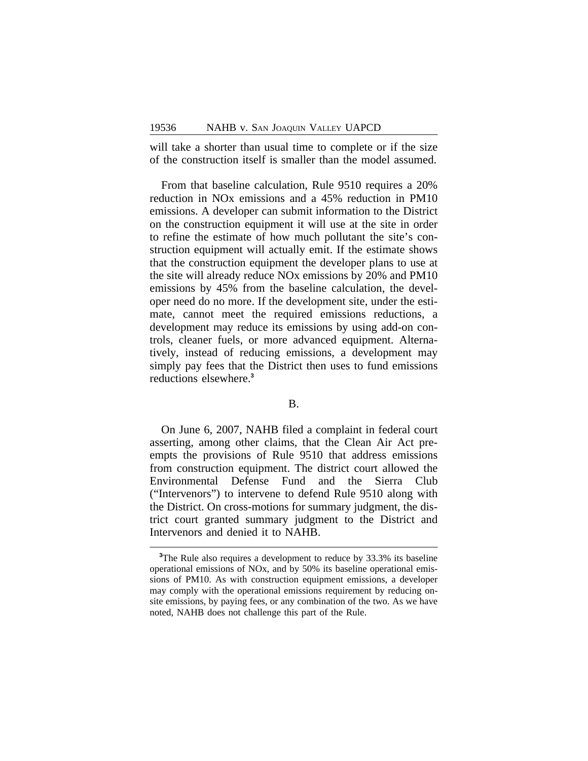will take a shorter than usual time to complete or if the size of the construction itself is smaller than the model assumed.

From that baseline calculation, Rule 9510 requires a 20% reduction in NOx emissions and a 45% reduction in PM10 emissions. A developer can submit information to the District on the construction equipment it will use at the site in order to refine the estimate of how much pollutant the site's construction equipment will actually emit. If the estimate shows that the construction equipment the developer plans to use at the site will already reduce NOx emissions by 20% and PM10 emissions by 45% from the baseline calculation, the developer need do no more. If the development site, under the estimate, cannot meet the required emissions reductions, a development may reduce its emissions by using add-on controls, cleaner fuels, or more advanced equipment. Alternatively, instead of reducing emissions, a development may simply pay fees that the District then uses to fund emissions reductions elsewhere.**<sup>3</sup>**

## B.

On June 6, 2007, NAHB filed a complaint in federal court asserting, among other claims, that the Clean Air Act preempts the provisions of Rule 9510 that address emissions from construction equipment. The district court allowed the Environmental Defense Fund and the Sierra Club ("Intervenors") to intervene to defend Rule 9510 along with the District. On cross-motions for summary judgment, the district court granted summary judgment to the District and Intervenors and denied it to NAHB.

**<sup>3</sup>**The Rule also requires a development to reduce by 33.3% its baseline operational emissions of NOx, and by 50% its baseline operational emissions of PM10. As with construction equipment emissions, a developer may comply with the operational emissions requirement by reducing onsite emissions, by paying fees, or any combination of the two. As we have noted, NAHB does not challenge this part of the Rule.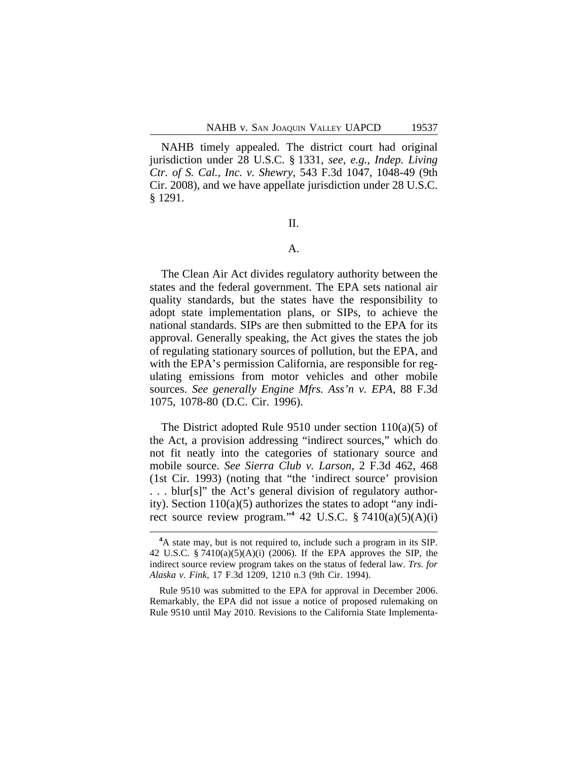NAHB timely appealed. The district court had original jurisdiction under 28 U.S.C. § 1331, *see, e.g.*, *Indep. Living Ctr. of S. Cal., Inc. v. Shewry*, 543 F.3d 1047, 1048-49 (9th Cir. 2008), and we have appellate jurisdiction under 28 U.S.C. § 1291.

II.

## A.

The Clean Air Act divides regulatory authority between the states and the federal government. The EPA sets national air quality standards, but the states have the responsibility to adopt state implementation plans, or SIPs, to achieve the national standards. SIPs are then submitted to the EPA for its approval. Generally speaking, the Act gives the states the job of regulating stationary sources of pollution, but the EPA, and with the EPA's permission California, are responsible for regulating emissions from motor vehicles and other mobile sources. *See generally Engine Mfrs. Ass'n v. EPA*, 88 F.3d 1075, 1078-80 (D.C. Cir. 1996).

The District adopted Rule 9510 under section 110(a)(5) of the Act, a provision addressing "indirect sources," which do not fit neatly into the categories of stationary source and mobile source. *See Sierra Club v. Larson*, 2 F.3d 462, 468 (1st Cir. 1993) (noting that "the 'indirect source' provision . . . blur[s]" the Act's general division of regulatory authority). Section 110(a)(5) authorizes the states to adopt "any indirect source review program."<sup>4</sup> 42 U.S.C.  $\S 7410(a)(5)(A)(i)$ 

**<sup>4</sup>**A state may, but is not required to, include such a program in its SIP. 42 U.S.C. § 7410(a)(5)(A)(i) (2006). If the EPA approves the SIP, the indirect source review program takes on the status of federal law. *Trs. for Alaska v. Fink*, 17 F.3d 1209, 1210 n.3 (9th Cir. 1994).

Rule 9510 was submitted to the EPA for approval in December 2006. Remarkably, the EPA did not issue a notice of proposed rulemaking on Rule 9510 until May 2010. Revisions to the California State Implementa-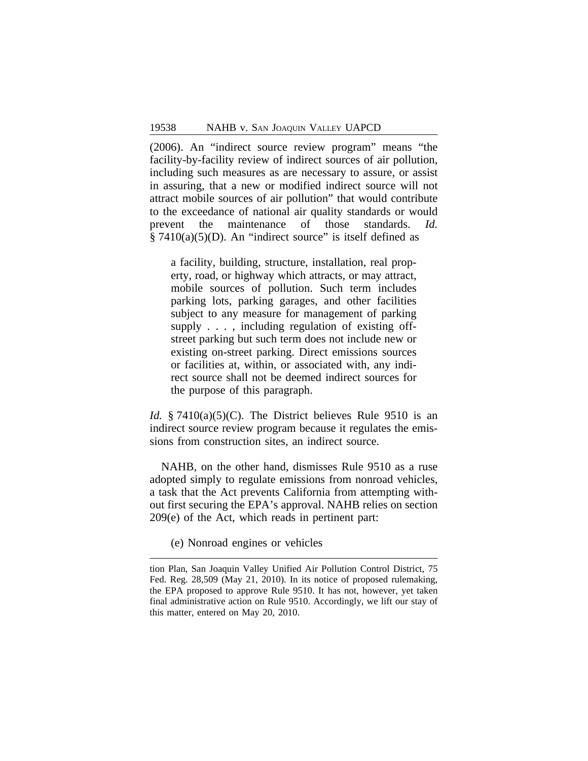(2006). An "indirect source review program" means "the facility-by-facility review of indirect sources of air pollution, including such measures as are necessary to assure, or assist in assuring, that a new or modified indirect source will not attract mobile sources of air pollution" that would contribute to the exceedance of national air quality standards or would prevent the maintenance of those standards. *Id.*  $§ 7410(a)(5)(D)$ . An "indirect source" is itself defined as

a facility, building, structure, installation, real property, road, or highway which attracts, or may attract, mobile sources of pollution. Such term includes parking lots, parking garages, and other facilities subject to any measure for management of parking supply . . . , including regulation of existing offstreet parking but such term does not include new or existing on-street parking. Direct emissions sources or facilities at, within, or associated with, any indirect source shall not be deemed indirect sources for the purpose of this paragraph.

*Id.* § 7410(a)(5)(C). The District believes Rule 9510 is an indirect source review program because it regulates the emissions from construction sites, an indirect source.

NAHB, on the other hand, dismisses Rule 9510 as a ruse adopted simply to regulate emissions from nonroad vehicles, a task that the Act prevents California from attempting without first securing the EPA's approval. NAHB relies on section 209(e) of the Act, which reads in pertinent part:

(e) Nonroad engines or vehicles

tion Plan, San Joaquin Valley Unified Air Pollution Control District, 75 Fed. Reg. 28,509 (May 21, 2010). In its notice of proposed rulemaking, the EPA proposed to approve Rule 9510. It has not, however, yet taken final administrative action on Rule 9510. Accordingly, we lift our stay of this matter, entered on May 20, 2010.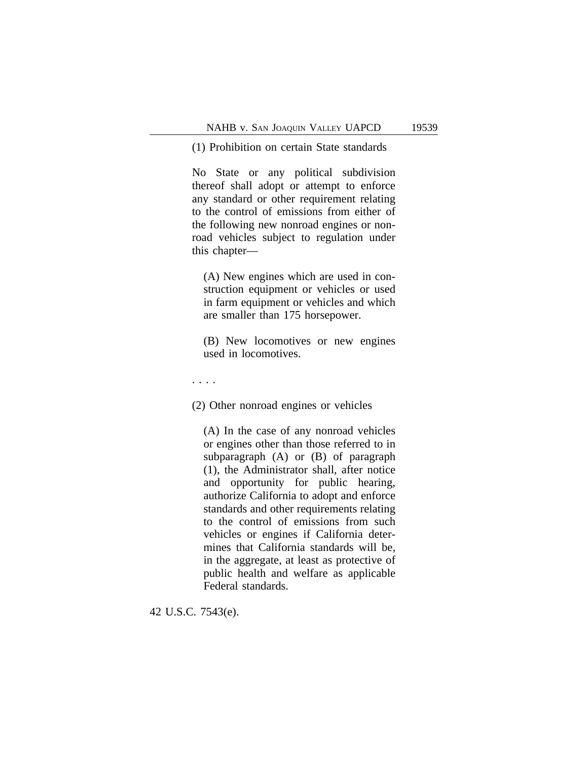(1) Prohibition on certain State standards

No State or any political subdivision thereof shall adopt or attempt to enforce any standard or other requirement relating to the control of emissions from either of the following new nonroad engines or nonroad vehicles subject to regulation under this chapter—

(A) New engines which are used in construction equipment or vehicles or used in farm equipment or vehicles and which are smaller than 175 horsepower.

(B) New locomotives or new engines used in locomotives.

. . . .

(2) Other nonroad engines or vehicles

(A) In the case of any nonroad vehicles or engines other than those referred to in subparagraph (A) or (B) of paragraph (1), the Administrator shall, after notice and opportunity for public hearing, authorize California to adopt and enforce standards and other requirements relating to the control of emissions from such vehicles or engines if California determines that California standards will be, in the aggregate, at least as protective of public health and welfare as applicable Federal standards.

42 U.S.C. 7543(e).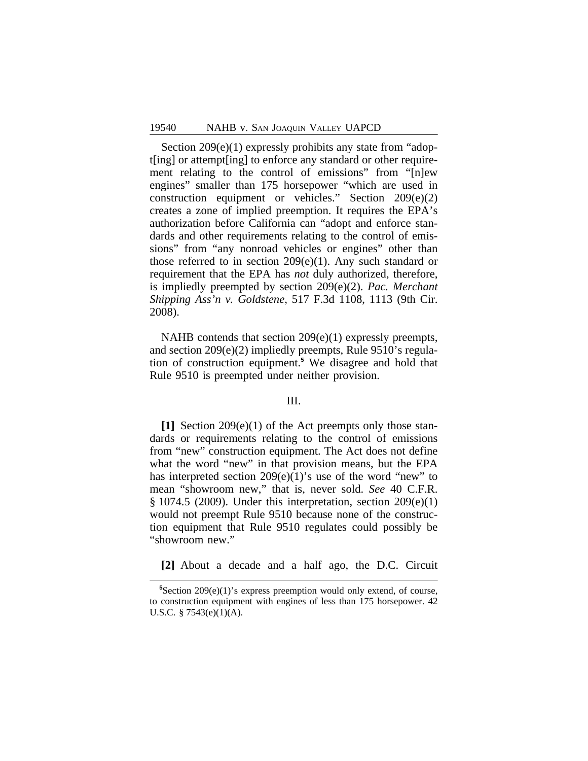Section 209(e)(1) expressly prohibits any state from "adopt[ing] or attempt[ing] to enforce any standard or other requirement relating to the control of emissions" from "[n]ew engines" smaller than 175 horsepower "which are used in construction equipment or vehicles." Section 209(e)(2) creates a zone of implied preemption. It requires the EPA's authorization before California can "adopt and enforce standards and other requirements relating to the control of emissions" from "any nonroad vehicles or engines" other than those referred to in section 209(e)(1). Any such standard or requirement that the EPA has *not* duly authorized, therefore, is impliedly preempted by section 209(e)(2). *Pac. Merchant Shipping Ass'n v. Goldstene*, 517 F.3d 1108, 1113 (9th Cir. 2008).

NAHB contends that section 209(e)(1) expressly preempts, and section 209(e)(2) impliedly preempts, Rule 9510's regulation of construction equipment.**<sup>5</sup>** We disagree and hold that Rule 9510 is preempted under neither provision.

#### III.

**[1]** Section 209(e)(1) of the Act preempts only those standards or requirements relating to the control of emissions from "new" construction equipment. The Act does not define what the word "new" in that provision means, but the EPA has interpreted section 209(e)(1)'s use of the word "new" to mean "showroom new," that is, never sold. *See* 40 C.F.R. § 1074.5 (2009). Under this interpretation, section 209(e)(1) would not preempt Rule 9510 because none of the construction equipment that Rule 9510 regulates could possibly be "showroom new."

**[2]** About a decade and a half ago, the D.C. Circuit

**<sup>5</sup>**Section 209(e)(1)'s express preemption would only extend, of course, to construction equipment with engines of less than 175 horsepower. 42 U.S.C. § 7543(e)(1)(A).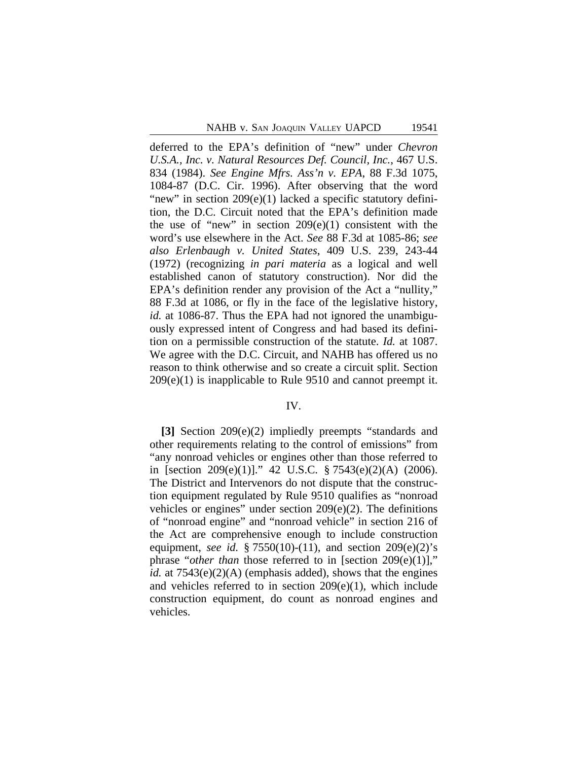deferred to the EPA's definition of "new" under *Chevron U.S.A., Inc. v. Natural Resources Def. Council, Inc.*, 467 U.S. 834 (1984). *See Engine Mfrs. Ass'n v. EPA*, 88 F.3d 1075, 1084-87 (D.C. Cir. 1996). After observing that the word "new" in section 209(e)(1) lacked a specific statutory definition, the D.C. Circuit noted that the EPA's definition made the use of "new" in section  $209(e)(1)$  consistent with the word's use elsewhere in the Act. *See* 88 F.3d at 1085-86; *see also Erlenbaugh v. United States*, 409 U.S. 239, 243-44 (1972) (recognizing *in pari materia* as a logical and well established canon of statutory construction). Nor did the EPA's definition render any provision of the Act a "nullity," 88 F.3d at 1086, or fly in the face of the legislative history, *id.* at 1086-87. Thus the EPA had not ignored the unambiguously expressed intent of Congress and had based its definition on a permissible construction of the statute. *Id.* at 1087. We agree with the D.C. Circuit, and NAHB has offered us no reason to think otherwise and so create a circuit split. Section 209(e)(1) is inapplicable to Rule 9510 and cannot preempt it.

#### IV.

**[3]** Section 209(e)(2) impliedly preempts "standards and other requirements relating to the control of emissions" from "any nonroad vehicles or engines other than those referred to in [section 209(e)(1)]." 42 U.S.C. § 7543(e)(2)(A) (2006). The District and Intervenors do not dispute that the construction equipment regulated by Rule 9510 qualifies as "nonroad vehicles or engines" under section 209(e)(2). The definitions of "nonroad engine" and "nonroad vehicle" in section 216 of the Act are comprehensive enough to include construction equipment, *see id.* § 7550(10)-(11), and section 209(e)(2)'s phrase "*other than* those referred to in [section 209(e)(1)]," *id.* at 7543(e)(2)(A) (emphasis added), shows that the engines and vehicles referred to in section 209(e)(1), which include construction equipment, do count as nonroad engines and vehicles.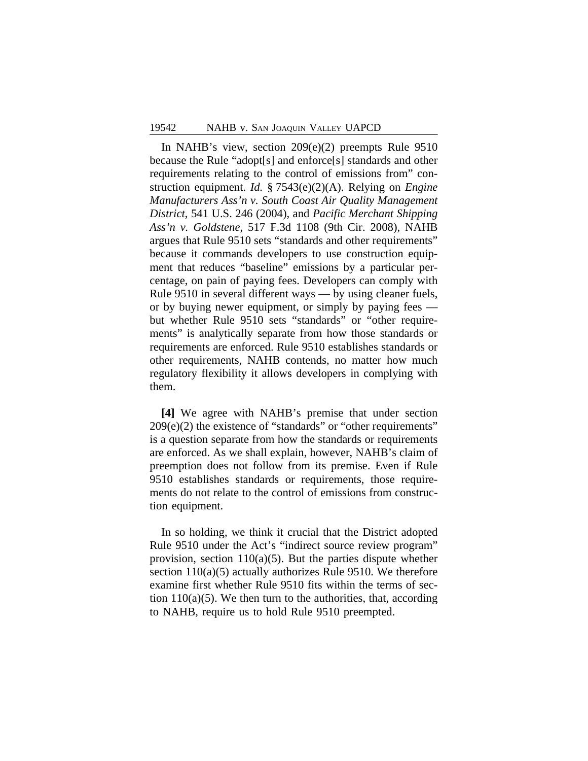In NAHB's view, section 209(e)(2) preempts Rule 9510 because the Rule "adopt[s] and enforce[s] standards and other requirements relating to the control of emissions from" construction equipment. *Id.* § 7543(e)(2)(A). Relying on *Engine Manufacturers Ass'n v. South Coast Air Quality Management District*, 541 U.S. 246 (2004), and *Pacific Merchant Shipping Ass'n v. Goldstene*, 517 F.3d 1108 (9th Cir. 2008), NAHB argues that Rule 9510 sets "standards and other requirements" because it commands developers to use construction equipment that reduces "baseline" emissions by a particular percentage, on pain of paying fees. Developers can comply with Rule 9510 in several different ways — by using cleaner fuels, or by buying newer equipment, or simply by paying fees but whether Rule 9510 sets "standards" or "other requirements" is analytically separate from how those standards or requirements are enforced. Rule 9510 establishes standards or other requirements, NAHB contends, no matter how much regulatory flexibility it allows developers in complying with them.

**[4]** We agree with NAHB's premise that under section 209(e)(2) the existence of "standards" or "other requirements" is a question separate from how the standards or requirements are enforced. As we shall explain, however, NAHB's claim of preemption does not follow from its premise. Even if Rule 9510 establishes standards or requirements, those requirements do not relate to the control of emissions from construction equipment.

In so holding, we think it crucial that the District adopted Rule 9510 under the Act's "indirect source review program" provision, section  $110(a)(5)$ . But the parties dispute whether section 110(a)(5) actually authorizes Rule 9510. We therefore examine first whether Rule 9510 fits within the terms of section  $110(a)(5)$ . We then turn to the authorities, that, according to NAHB, require us to hold Rule 9510 preempted.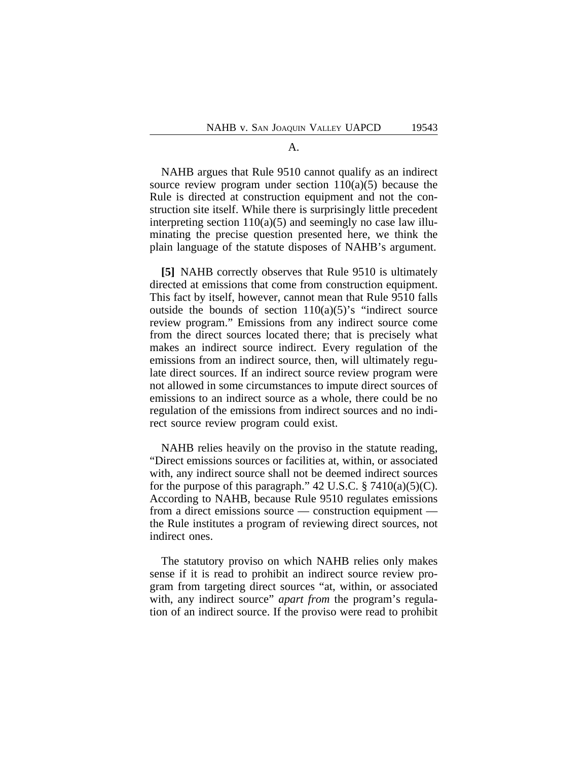## A.

NAHB argues that Rule 9510 cannot qualify as an indirect source review program under section  $110(a)(5)$  because the Rule is directed at construction equipment and not the construction site itself. While there is surprisingly little precedent interpreting section  $110(a)(5)$  and seemingly no case law illuminating the precise question presented here, we think the plain language of the statute disposes of NAHB's argument.

**[5]** NAHB correctly observes that Rule 9510 is ultimately directed at emissions that come from construction equipment. This fact by itself, however, cannot mean that Rule 9510 falls outside the bounds of section  $110(a)(5)$ 's "indirect source review program." Emissions from any indirect source come from the direct sources located there; that is precisely what makes an indirect source indirect. Every regulation of the emissions from an indirect source, then, will ultimately regulate direct sources. If an indirect source review program were not allowed in some circumstances to impute direct sources of emissions to an indirect source as a whole, there could be no regulation of the emissions from indirect sources and no indirect source review program could exist.

NAHB relies heavily on the proviso in the statute reading, "Direct emissions sources or facilities at, within, or associated with, any indirect source shall not be deemed indirect sources for the purpose of this paragraph."  $42$  U.S.C.  $\S$  7410(a)(5)(C). According to NAHB, because Rule 9510 regulates emissions from a direct emissions source — construction equipment the Rule institutes a program of reviewing direct sources, not indirect ones.

The statutory proviso on which NAHB relies only makes sense if it is read to prohibit an indirect source review program from targeting direct sources "at, within, or associated with, any indirect source" *apart from* the program's regulation of an indirect source. If the proviso were read to prohibit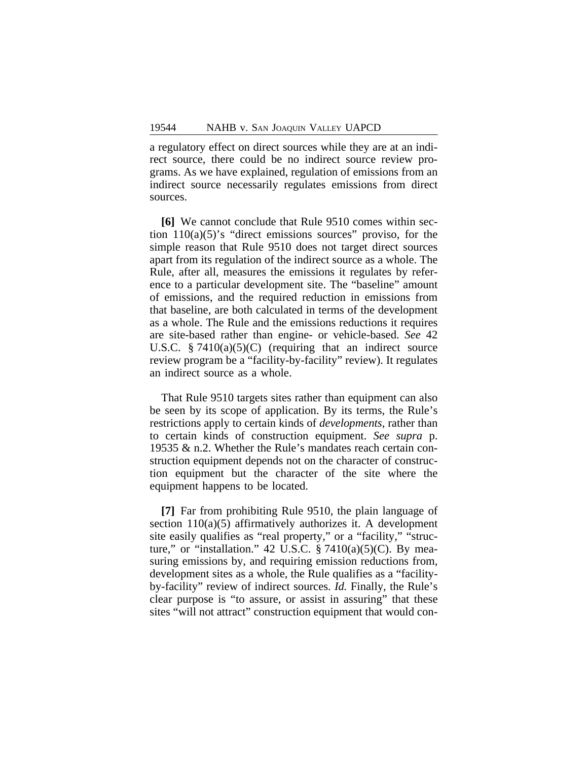a regulatory effect on direct sources while they are at an indirect source, there could be no indirect source review programs. As we have explained, regulation of emissions from an indirect source necessarily regulates emissions from direct sources.

**[6]** We cannot conclude that Rule 9510 comes within section  $110(a)(5)$ 's "direct emissions sources" proviso, for the simple reason that Rule 9510 does not target direct sources apart from its regulation of the indirect source as a whole. The Rule, after all, measures the emissions it regulates by reference to a particular development site. The "baseline" amount of emissions, and the required reduction in emissions from that baseline, are both calculated in terms of the development as a whole. The Rule and the emissions reductions it requires are site-based rather than engine- or vehicle-based. *See* 42 U.S.C.  $\S$  7410(a)(5)(C) (requiring that an indirect source review program be a "facility-by-facility" review). It regulates an indirect source as a whole.

That Rule 9510 targets sites rather than equipment can also be seen by its scope of application. By its terms, the Rule's restrictions apply to certain kinds of *developments*, rather than to certain kinds of construction equipment. *See supra* p. 19535 & n.2. Whether the Rule's mandates reach certain construction equipment depends not on the character of construction equipment but the character of the site where the equipment happens to be located.

**[7]** Far from prohibiting Rule 9510, the plain language of section  $110(a)(5)$  affirmatively authorizes it. A development site easily qualifies as "real property," or a "facility," "structure," or "installation." 42 U.S.C.  $\S 7410(a)(5)(C)$ . By measuring emissions by, and requiring emission reductions from, development sites as a whole, the Rule qualifies as a "facilityby-facility" review of indirect sources. *Id.* Finally, the Rule's clear purpose is "to assure, or assist in assuring" that these sites "will not attract" construction equipment that would con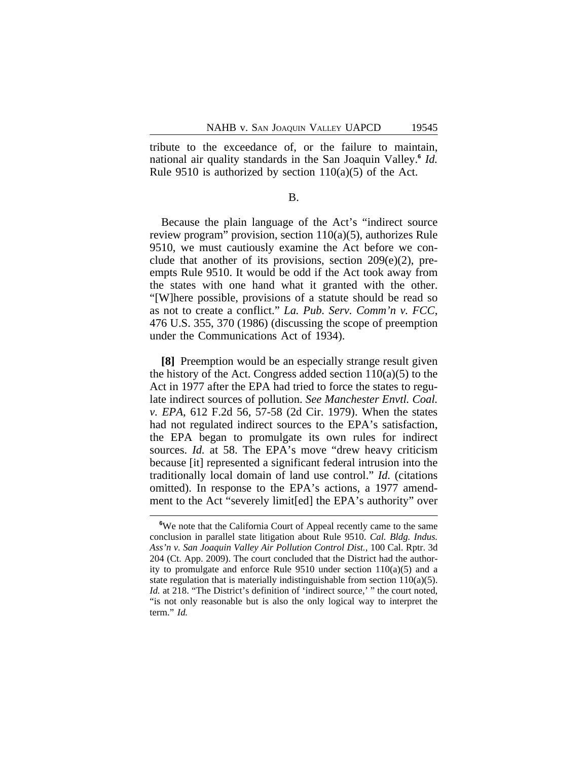tribute to the exceedance of, or the failure to maintain, national air quality standards in the San Joaquin Valley.**<sup>6</sup>** *Id.* Rule 9510 is authorized by section  $110(a)(5)$  of the Act.

B.

Because the plain language of the Act's "indirect source review program" provision, section 110(a)(5), authorizes Rule 9510, we must cautiously examine the Act before we conclude that another of its provisions, section 209(e)(2), preempts Rule 9510. It would be odd if the Act took away from the states with one hand what it granted with the other. "[W]here possible, provisions of a statute should be read so as not to create a conflict." *La. Pub. Serv. Comm'n v. FCC*, 476 U.S. 355, 370 (1986) (discussing the scope of preemption under the Communications Act of 1934).

**[8]** Preemption would be an especially strange result given the history of the Act. Congress added section  $110(a)(5)$  to the Act in 1977 after the EPA had tried to force the states to regulate indirect sources of pollution. *See Manchester Envtl. Coal. v. EPA*, 612 F.2d 56, 57-58 (2d Cir. 1979). When the states had not regulated indirect sources to the EPA's satisfaction, the EPA began to promulgate its own rules for indirect sources. *Id.* at 58. The EPA's move "drew heavy criticism" because [it] represented a significant federal intrusion into the traditionally local domain of land use control." *Id.* (citations omitted). In response to the EPA's actions, a 1977 amendment to the Act "severely limit[ed] the EPA's authority" over

**<sup>6</sup>**We note that the California Court of Appeal recently came to the same conclusion in parallel state litigation about Rule 9510. *Cal. Bldg. Indus. Ass'n v. San Joaquin Valley Air Pollution Control Dist.*, 100 Cal. Rptr. 3d 204 (Ct. App. 2009). The court concluded that the District had the authority to promulgate and enforce Rule 9510 under section 110(a)(5) and a state regulation that is materially indistinguishable from section 110(a)(5). *Id.* at 218. "The District's definition of 'indirect source,' " the court noted, "is not only reasonable but is also the only logical way to interpret the term." *Id.*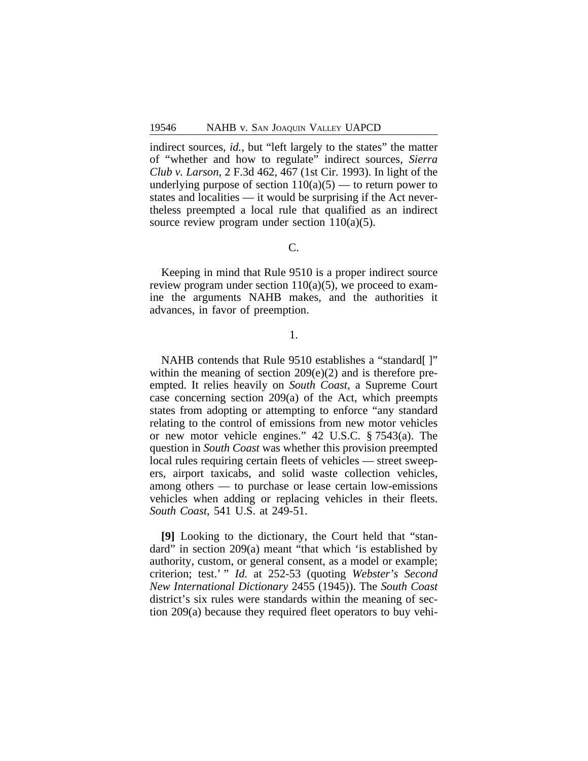indirect sources, *id.*, but "left largely to the states" the matter of "whether and how to regulate" indirect sources, *Sierra Club v. Larson*, 2 F.3d 462, 467 (1st Cir. 1993). In light of the underlying purpose of section  $110(a)(5)$  — to return power to states and localities — it would be surprising if the Act nevertheless preempted a local rule that qualified as an indirect source review program under section  $110(a)(5)$ .

# C.

Keeping in mind that Rule 9510 is a proper indirect source review program under section  $110(a)(5)$ , we proceed to examine the arguments NAHB makes, and the authorities it advances, in favor of preemption.

#### 1.

NAHB contends that Rule 9510 establishes a "standard[]" within the meaning of section 209(e)(2) and is therefore preempted. It relies heavily on *South Coast*, a Supreme Court case concerning section 209(a) of the Act, which preempts states from adopting or attempting to enforce "any standard relating to the control of emissions from new motor vehicles or new motor vehicle engines." 42 U.S.C. § 7543(a). The question in *South Coast* was whether this provision preempted local rules requiring certain fleets of vehicles — street sweepers, airport taxicabs, and solid waste collection vehicles, among others — to purchase or lease certain low-emissions vehicles when adding or replacing vehicles in their fleets. *South Coast*, 541 U.S. at 249-51.

**[9]** Looking to the dictionary, the Court held that "standard" in section 209(a) meant "that which 'is established by authority, custom, or general consent, as a model or example; criterion; test.' " *Id.* at 252-53 (quoting *Webster's Second New International Dictionary* 2455 (1945)). The *South Coast* district's six rules were standards within the meaning of section 209(a) because they required fleet operators to buy vehi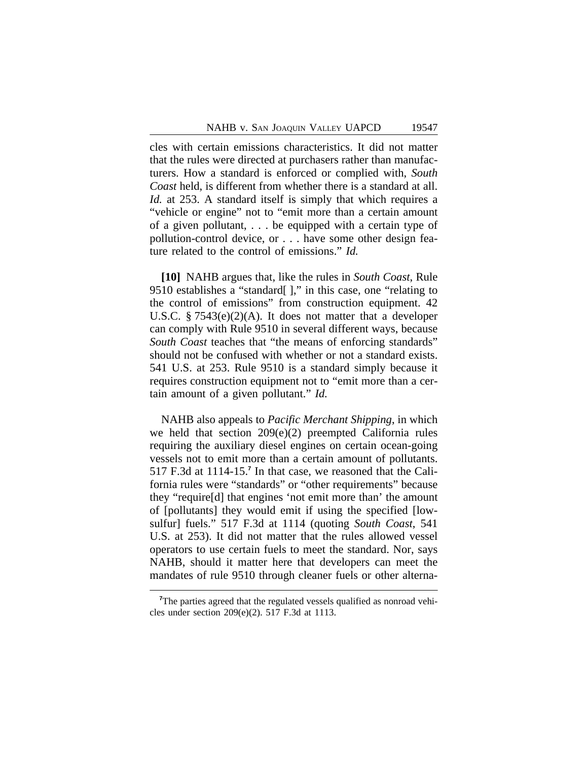cles with certain emissions characteristics. It did not matter that the rules were directed at purchasers rather than manufacturers. How a standard is enforced or complied with, *South Coast* held, is different from whether there is a standard at all. *Id.* at 253. A standard itself is simply that which requires a "vehicle or engine" not to "emit more than a certain amount of a given pollutant, . . . be equipped with a certain type of pollution-control device, or . . . have some other design feature related to the control of emissions." *Id.*

**[10]** NAHB argues that, like the rules in *South Coast*, Rule 9510 establishes a "standard[ ]," in this case, one "relating to the control of emissions" from construction equipment. 42 U.S.C. § 7543(e)(2)(A). It does not matter that a developer can comply with Rule 9510 in several different ways, because *South Coast* teaches that "the means of enforcing standards" should not be confused with whether or not a standard exists. 541 U.S. at 253. Rule 9510 is a standard simply because it requires construction equipment not to "emit more than a certain amount of a given pollutant." *Id.*

NAHB also appeals to *Pacific Merchant Shipping*, in which we held that section 209(e)(2) preempted California rules requiring the auxiliary diesel engines on certain ocean-going vessels not to emit more than a certain amount of pollutants. 517 F.3d at 1114-15.**<sup>7</sup>** In that case, we reasoned that the California rules were "standards" or "other requirements" because they "require[d] that engines 'not emit more than' the amount of [pollutants] they would emit if using the specified [lowsulfur] fuels." 517 F.3d at 1114 (quoting *South Coast*, 541 U.S. at 253). It did not matter that the rules allowed vessel operators to use certain fuels to meet the standard. Nor, says NAHB, should it matter here that developers can meet the mandates of rule 9510 through cleaner fuels or other alterna-

<sup>&</sup>lt;sup>7</sup>The parties agreed that the regulated vessels qualified as nonroad vehicles under section 209(e)(2). 517 F.3d at 1113.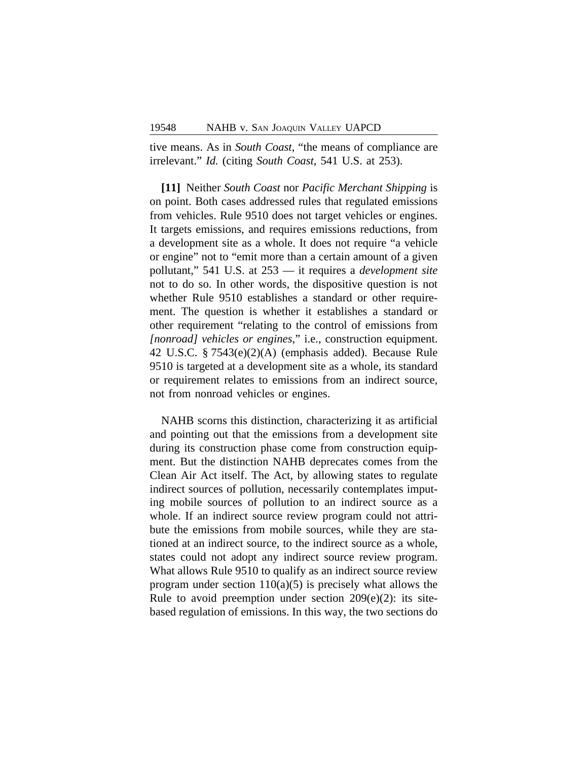tive means. As in *South Coast*, "the means of compliance are irrelevant." *Id.* (citing *South Coast*, 541 U.S. at 253).

**[11]** Neither *South Coast* nor *Pacific Merchant Shipping* is on point. Both cases addressed rules that regulated emissions from vehicles. Rule 9510 does not target vehicles or engines. It targets emissions, and requires emissions reductions, from a development site as a whole. It does not require "a vehicle or engine" not to "emit more than a certain amount of a given pollutant," 541 U.S. at 253 — it requires a *development site* not to do so. In other words, the dispositive question is not whether Rule 9510 establishes a standard or other requirement. The question is whether it establishes a standard or other requirement "relating to the control of emissions from *[nonroad] vehicles or engines*," i.e., construction equipment. 42 U.S.C. § 7543(e)(2)(A) (emphasis added). Because Rule 9510 is targeted at a development site as a whole, its standard or requirement relates to emissions from an indirect source, not from nonroad vehicles or engines.

NAHB scorns this distinction, characterizing it as artificial and pointing out that the emissions from a development site during its construction phase come from construction equipment. But the distinction NAHB deprecates comes from the Clean Air Act itself. The Act, by allowing states to regulate indirect sources of pollution, necessarily contemplates imputing mobile sources of pollution to an indirect source as a whole. If an indirect source review program could not attribute the emissions from mobile sources, while they are stationed at an indirect source, to the indirect source as a whole, states could not adopt any indirect source review program. What allows Rule 9510 to qualify as an indirect source review program under section  $110(a)(5)$  is precisely what allows the Rule to avoid preemption under section  $209(e)(2)$ : its sitebased regulation of emissions. In this way, the two sections do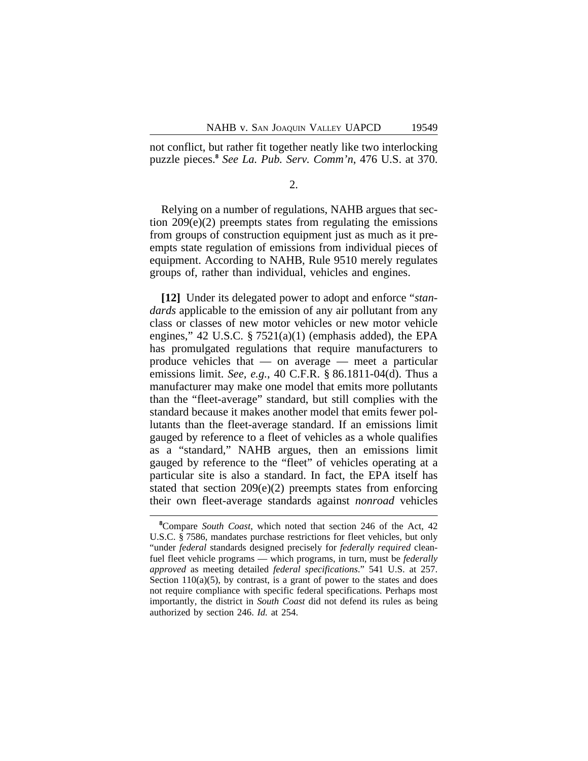not conflict, but rather fit together neatly like two interlocking puzzle pieces.**<sup>8</sup>** *See La. Pub. Serv. Comm'n*, 476 U.S. at 370.

## 2.

Relying on a number of regulations, NAHB argues that section 209(e)(2) preempts states from regulating the emissions from groups of construction equipment just as much as it preempts state regulation of emissions from individual pieces of equipment. According to NAHB, Rule 9510 merely regulates groups of, rather than individual, vehicles and engines.

**[12]** Under its delegated power to adopt and enforce "*standards* applicable to the emission of any air pollutant from any class or classes of new motor vehicles or new motor vehicle engines," 42 U.S.C. § 7521(a)(1) (emphasis added), the EPA has promulgated regulations that require manufacturers to produce vehicles that — on average — meet a particular emissions limit. *See, e.g.*, 40 C.F.R. § 86.1811-04(d). Thus a manufacturer may make one model that emits more pollutants than the "fleet-average" standard, but still complies with the standard because it makes another model that emits fewer pollutants than the fleet-average standard. If an emissions limit gauged by reference to a fleet of vehicles as a whole qualifies as a "standard," NAHB argues, then an emissions limit gauged by reference to the "fleet" of vehicles operating at a particular site is also a standard. In fact, the EPA itself has stated that section 209(e)(2) preempts states from enforcing their own fleet-average standards against *nonroad* vehicles

**<sup>8</sup>**Compare *South Coast*, which noted that section 246 of the Act, 42 U.S.C. § 7586, mandates purchase restrictions for fleet vehicles, but only "under *federal* standards designed precisely for *federally required* cleanfuel fleet vehicle programs — which programs, in turn, must be *federally approved* as meeting detailed *federal specifications*." 541 U.S. at 257. Section  $110(a)(5)$ , by contrast, is a grant of power to the states and does not require compliance with specific federal specifications. Perhaps most importantly, the district in *South Coast* did not defend its rules as being authorized by section 246. *Id.* at 254.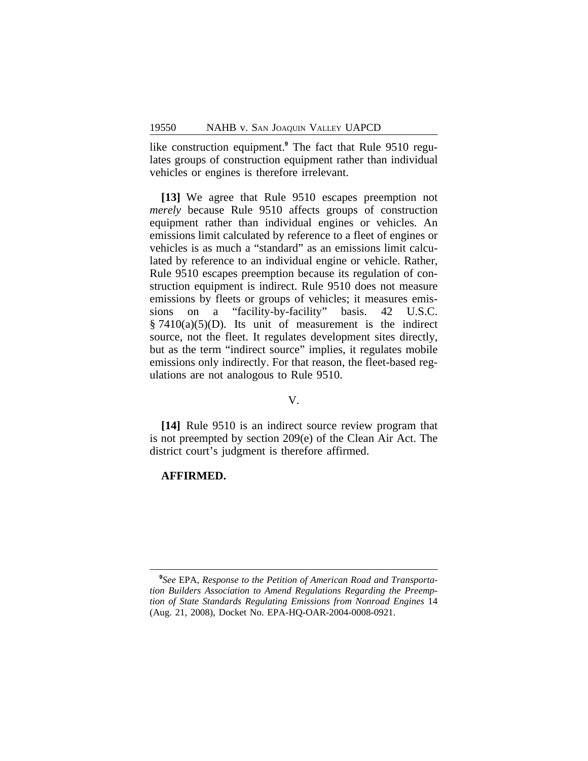like construction equipment.**<sup>9</sup>** The fact that Rule 9510 regulates groups of construction equipment rather than individual vehicles or engines is therefore irrelevant.

**[13]** We agree that Rule 9510 escapes preemption not *merely* because Rule 9510 affects groups of construction equipment rather than individual engines or vehicles. An emissions limit calculated by reference to a fleet of engines or vehicles is as much a "standard" as an emissions limit calculated by reference to an individual engine or vehicle. Rather, Rule 9510 escapes preemption because its regulation of construction equipment is indirect. Rule 9510 does not measure emissions by fleets or groups of vehicles; it measures emissions on a "facility-by-facility" basis. 42 U.S.C.  $§ 7410(a)(5)(D)$ . Its unit of measurement is the indirect source, not the fleet. It regulates development sites directly, but as the term "indirect source" implies, it regulates mobile emissions only indirectly. For that reason, the fleet-based regulations are not analogous to Rule 9510.

#### V.

**[14]** Rule 9510 is an indirect source review program that is not preempted by section 209(e) of the Clean Air Act. The district court's judgment is therefore affirmed.

#### **AFFIRMED.**

**<sup>9</sup>** *See* EPA, *Response to the Petition of American Road and Transportation Builders Association to Amend Regulations Regarding the Preemption of State Standards Regulating Emissions from Nonroad Engines* 14 (Aug. 21, 2008), Docket No. EPA-HQ-OAR-2004-0008-0921.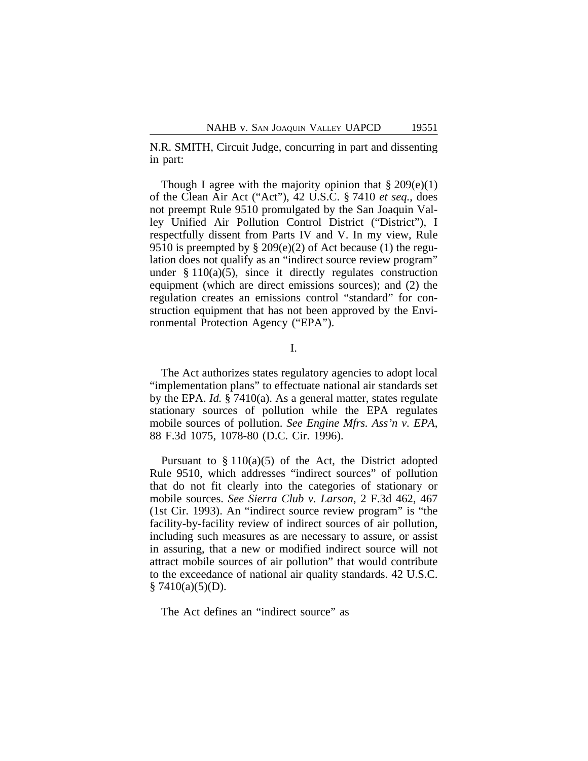N.R. SMITH, Circuit Judge, concurring in part and dissenting in part:

Though I agree with the majority opinion that  $\S 209(e)(1)$ of the Clean Air Act ("Act"), 42 U.S.C. § 7410 *et seq.*, does not preempt Rule 9510 promulgated by the San Joaquin Valley Unified Air Pollution Control District ("District"), I respectfully dissent from Parts IV and V. In my view, Rule 9510 is preempted by  $\S 209(e)(2)$  of Act because (1) the regulation does not qualify as an "indirect source review program" under  $§ 110(a)(5)$ , since it directly regulates construction equipment (which are direct emissions sources); and (2) the regulation creates an emissions control "standard" for construction equipment that has not been approved by the Environmental Protection Agency ("EPA").

I.

The Act authorizes states regulatory agencies to adopt local "implementation plans" to effectuate national air standards set by the EPA. *Id.* § 7410(a). As a general matter, states regulate stationary sources of pollution while the EPA regulates mobile sources of pollution. *See Engine Mfrs. Ass'n v. EPA*, 88 F.3d 1075, 1078-80 (D.C. Cir. 1996).

Pursuant to  $\S 110(a)(5)$  of the Act, the District adopted Rule 9510, which addresses "indirect sources" of pollution that do not fit clearly into the categories of stationary or mobile sources. *See Sierra Club v. Larson*, 2 F.3d 462, 467 (1st Cir. 1993). An "indirect source review program" is "the facility-by-facility review of indirect sources of air pollution, including such measures as are necessary to assure, or assist in assuring, that a new or modified indirect source will not attract mobile sources of air pollution" that would contribute to the exceedance of national air quality standards. 42 U.S.C.  $§ 7410(a)(5)(D).$ 

The Act defines an "indirect source" as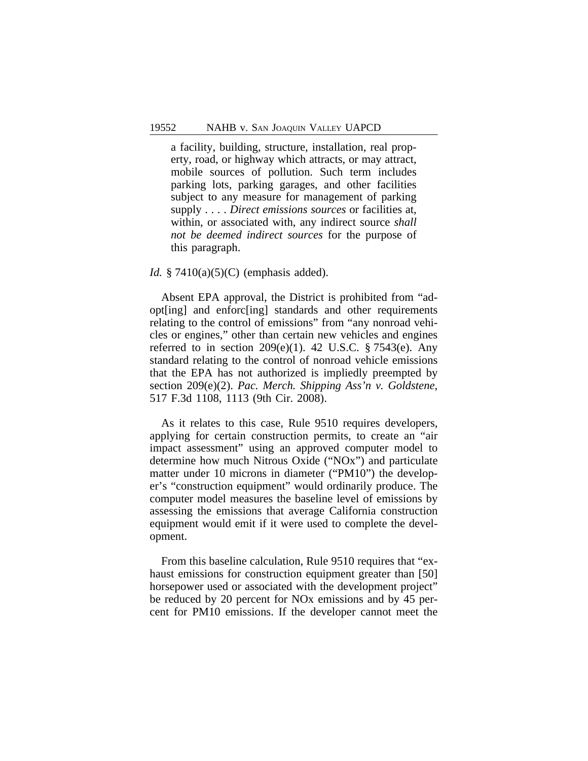a facility, building, structure, installation, real property, road, or highway which attracts, or may attract, mobile sources of pollution. Such term includes parking lots, parking garages, and other facilities subject to any measure for management of parking supply . . . . *Direct emissions sources* or facilities at, within, or associated with, any indirect source *shall not be deemed indirect sources* for the purpose of this paragraph.

## *Id.* § 7410(a)(5)(C) (emphasis added).

Absent EPA approval, the District is prohibited from "adopt[ing] and enforc[ing] standards and other requirements relating to the control of emissions" from "any nonroad vehicles or engines," other than certain new vehicles and engines referred to in section  $209(e)(1)$ . 42 U.S.C. § 7543 $(e)$ . Any standard relating to the control of nonroad vehicle emissions that the EPA has not authorized is impliedly preempted by section 209(e)(2). *Pac. Merch. Shipping Ass'n v. Goldstene*, 517 F.3d 1108, 1113 (9th Cir. 2008).

As it relates to this case, Rule 9510 requires developers, applying for certain construction permits, to create an "air impact assessment" using an approved computer model to determine how much Nitrous Oxide ("NOx") and particulate matter under 10 microns in diameter ("PM10") the developer's "construction equipment" would ordinarily produce. The computer model measures the baseline level of emissions by assessing the emissions that average California construction equipment would emit if it were used to complete the development.

From this baseline calculation, Rule 9510 requires that "exhaust emissions for construction equipment greater than [50] horsepower used or associated with the development project" be reduced by 20 percent for NOx emissions and by 45 percent for PM10 emissions. If the developer cannot meet the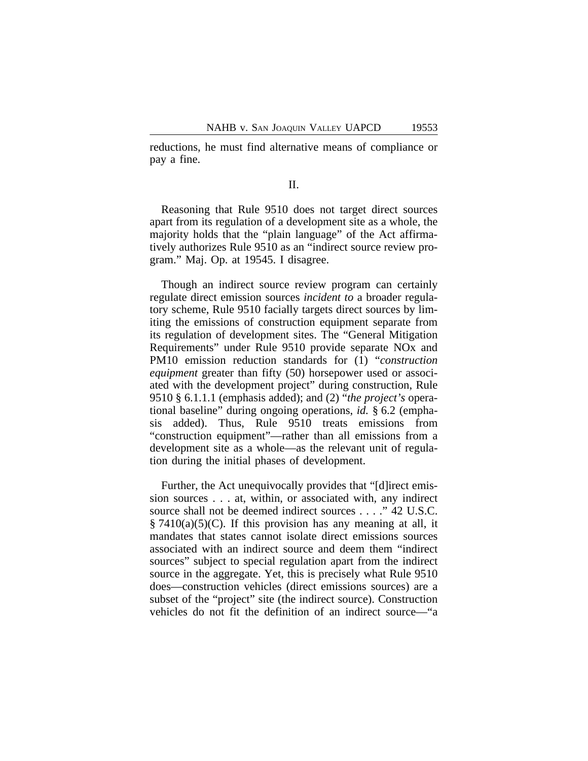reductions, he must find alternative means of compliance or pay a fine.

#### II.

Reasoning that Rule 9510 does not target direct sources apart from its regulation of a development site as a whole, the majority holds that the "plain language" of the Act affirmatively authorizes Rule 9510 as an "indirect source review program." Maj. Op. at 19545. I disagree.

Though an indirect source review program can certainly regulate direct emission sources *incident to* a broader regulatory scheme, Rule 9510 facially targets direct sources by limiting the emissions of construction equipment separate from its regulation of development sites. The "General Mitigation Requirements" under Rule 9510 provide separate NOx and PM10 emission reduction standards for (1) "*construction equipment* greater than fifty (50) horsepower used or associated with the development project" during construction, Rule 9510 § 6.1.1.1 (emphasis added); and (2) "*the project's* operational baseline" during ongoing operations, *id.* § 6.2 (emphasis added). Thus, Rule 9510 treats emissions from "construction equipment"—rather than all emissions from a development site as a whole—as the relevant unit of regulation during the initial phases of development.

Further, the Act unequivocally provides that "[d]irect emission sources . . . at, within, or associated with, any indirect source shall not be deemed indirect sources . . . ." 42 U.S.C.  $\S 7410(a)(5)(C)$ . If this provision has any meaning at all, it mandates that states cannot isolate direct emissions sources associated with an indirect source and deem them "indirect sources" subject to special regulation apart from the indirect source in the aggregate. Yet, this is precisely what Rule 9510 does—construction vehicles (direct emissions sources) are a subset of the "project" site (the indirect source). Construction vehicles do not fit the definition of an indirect source—"a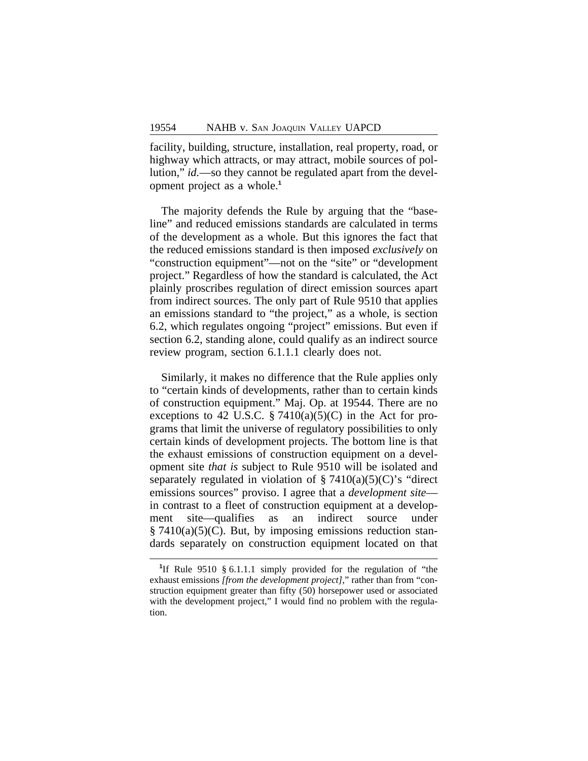facility, building, structure, installation, real property, road, or highway which attracts, or may attract, mobile sources of pollution," *id.*—so they cannot be regulated apart from the development project as a whole.**<sup>1</sup>**

The majority defends the Rule by arguing that the "baseline" and reduced emissions standards are calculated in terms of the development as a whole. But this ignores the fact that the reduced emissions standard is then imposed *exclusively* on "construction equipment"—not on the "site" or "development project." Regardless of how the standard is calculated, the Act plainly proscribes regulation of direct emission sources apart from indirect sources. The only part of Rule 9510 that applies an emissions standard to "the project," as a whole, is section 6.2, which regulates ongoing "project" emissions. But even if section 6.2, standing alone, could qualify as an indirect source review program, section 6.1.1.1 clearly does not.

Similarly, it makes no difference that the Rule applies only to "certain kinds of developments, rather than to certain kinds of construction equipment." Maj. Op. at 19544. There are no exceptions to 42 U.S.C.  $\S 7410(a)(5)(C)$  in the Act for programs that limit the universe of regulatory possibilities to only certain kinds of development projects. The bottom line is that the exhaust emissions of construction equipment on a development site *that is* subject to Rule 9510 will be isolated and separately regulated in violation of  $\S 7410(a)(5)(C)$ 's "direct emissions sources" proviso. I agree that a *development site* in contrast to a fleet of construction equipment at a development site—qualifies as an indirect source under  $\S 7410(a)(5)(C)$ . But, by imposing emissions reduction standards separately on construction equipment located on that

<sup>&</sup>lt;sup>1</sup>If Rule 9510 § 6.1.1.1 simply provided for the regulation of "the exhaust emissions *[from the development project]*," rather than from "construction equipment greater than fifty (50) horsepower used or associated with the development project," I would find no problem with the regulation.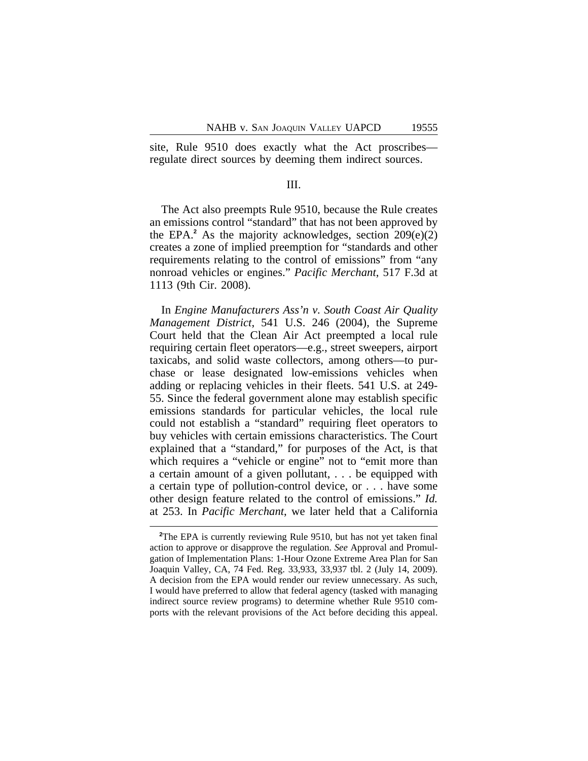site, Rule 9510 does exactly what the Act proscribes regulate direct sources by deeming them indirect sources.

## III.

The Act also preempts Rule 9510, because the Rule creates an emissions control "standard" that has not been approved by the EPA.**<sup>2</sup>** As the majority acknowledges, section 209(e)(2) creates a zone of implied preemption for "standards and other requirements relating to the control of emissions" from "any nonroad vehicles or engines." *Pacific Merchant*, 517 F.3d at 1113 (9th Cir. 2008).

In *Engine Manufacturers Ass'n v. South Coast Air Quality Management District*, 541 U.S. 246 (2004), the Supreme Court held that the Clean Air Act preempted a local rule requiring certain fleet operators—e.g., street sweepers, airport taxicabs, and solid waste collectors, among others—to purchase or lease designated low-emissions vehicles when adding or replacing vehicles in their fleets. 541 U.S. at 249- 55. Since the federal government alone may establish specific emissions standards for particular vehicles, the local rule could not establish a "standard" requiring fleet operators to buy vehicles with certain emissions characteristics. The Court explained that a "standard," for purposes of the Act, is that which requires a "vehicle or engine" not to "emit more than a certain amount of a given pollutant, . . . be equipped with a certain type of pollution-control device, or . . . have some other design feature related to the control of emissions." *Id.* at 253. In *Pacific Merchant*, we later held that a California

<sup>&</sup>lt;sup>2</sup>The EPA is currently reviewing Rule 9510, but has not yet taken final action to approve or disapprove the regulation. *See* Approval and Promulgation of Implementation Plans: 1-Hour Ozone Extreme Area Plan for San Joaquin Valley, CA, 74 Fed. Reg. 33,933, 33,937 tbl. 2 (July 14, 2009). A decision from the EPA would render our review unnecessary. As such, I would have preferred to allow that federal agency (tasked with managing indirect source review programs) to determine whether Rule 9510 comports with the relevant provisions of the Act before deciding this appeal.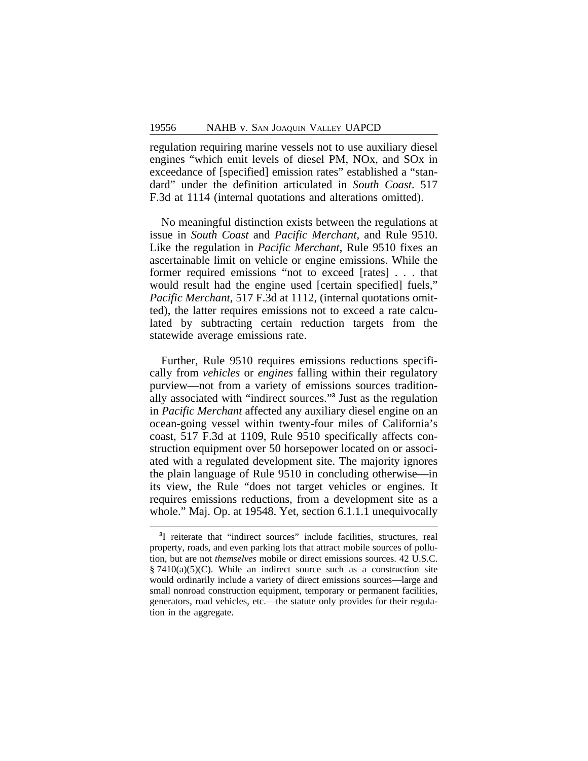regulation requiring marine vessels not to use auxiliary diesel engines "which emit levels of diesel PM, NOx, and SOx in exceedance of [specified] emission rates" established a "standard" under the definition articulated in *South Coast*. 517 F.3d at 1114 (internal quotations and alterations omitted).

No meaningful distinction exists between the regulations at issue in *South Coast* and *Pacific Merchant,* and Rule 9510. Like the regulation in *Pacific Merchant*, Rule 9510 fixes an ascertainable limit on vehicle or engine emissions. While the former required emissions "not to exceed [rates] . . . that would result had the engine used [certain specified] fuels," *Pacific Merchant*, 517 F.3d at 1112, (internal quotations omitted), the latter requires emissions not to exceed a rate calculated by subtracting certain reduction targets from the statewide average emissions rate.

Further, Rule 9510 requires emissions reductions specifically from *vehicles* or *engines* falling within their regulatory purview—not from a variety of emissions sources traditionally associated with "indirect sources." **3** Just as the regulation in *Pacific Merchant* affected any auxiliary diesel engine on an ocean-going vessel within twenty-four miles of California's coast, 517 F.3d at 1109, Rule 9510 specifically affects construction equipment over 50 horsepower located on or associated with a regulated development site. The majority ignores the plain language of Rule 9510 in concluding otherwise—in its view, the Rule "does not target vehicles or engines. It requires emissions reductions, from a development site as a whole." Maj. Op. at 19548. Yet, section 6.1.1.1 unequivocally

<sup>&</sup>lt;sup>3</sup>I reiterate that "indirect sources" include facilities, structures, real property, roads, and even parking lots that attract mobile sources of pollution, but are not *themselves* mobile or direct emissions sources. 42 U.S.C.  $§ 7410(a)(5)(C)$ . While an indirect source such as a construction site would ordinarily include a variety of direct emissions sources—large and small nonroad construction equipment, temporary or permanent facilities, generators, road vehicles, etc.—the statute only provides for their regulation in the aggregate.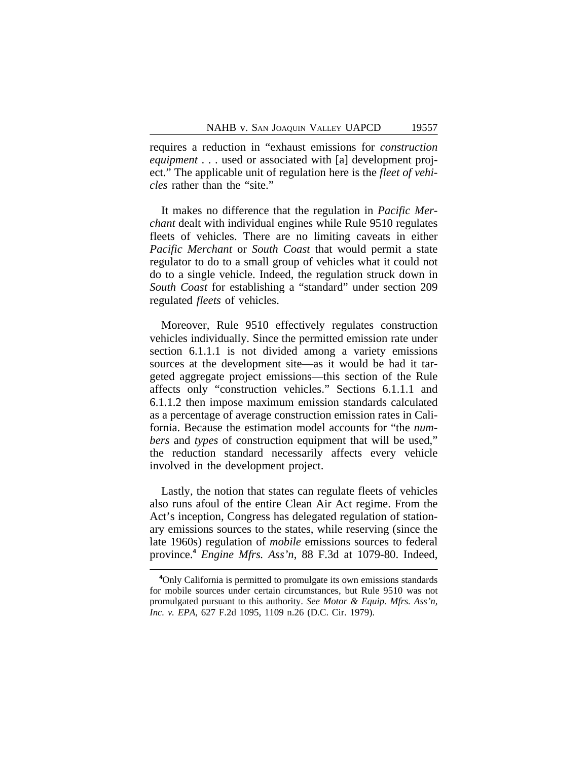requires a reduction in "exhaust emissions for *construction equipment* . . . used or associated with [a] development project." The applicable unit of regulation here is the *fleet of vehicles* rather than the "site."

It makes no difference that the regulation in *Pacific Merchant* dealt with individual engines while Rule 9510 regulates fleets of vehicles. There are no limiting caveats in either *Pacific Merchant* or *South Coast* that would permit a state regulator to do to a small group of vehicles what it could not do to a single vehicle. Indeed, the regulation struck down in *South Coast* for establishing a "standard" under section 209 regulated *fleets* of vehicles.

Moreover, Rule 9510 effectively regulates construction vehicles individually. Since the permitted emission rate under section 6.1.1.1 is not divided among a variety emissions sources at the development site—as it would be had it targeted aggregate project emissions—this section of the Rule affects only "construction vehicles." Sections 6.1.1.1 and 6.1.1.2 then impose maximum emission standards calculated as a percentage of average construction emission rates in California. Because the estimation model accounts for "the *numbers* and *types* of construction equipment that will be used," the reduction standard necessarily affects every vehicle involved in the development project.

Lastly, the notion that states can regulate fleets of vehicles also runs afoul of the entire Clean Air Act regime. From the Act's inception, Congress has delegated regulation of stationary emissions sources to the states, while reserving (since the late 1960s) regulation of *mobile* emissions sources to federal province.**<sup>4</sup>** *Engine Mfrs. Ass'n*, 88 F.3d at 1079-80. Indeed,

**<sup>4</sup>**Only California is permitted to promulgate its own emissions standards for mobile sources under certain circumstances, but Rule 9510 was not promulgated pursuant to this authority. *See Motor & Equip. Mfrs. Ass'n, Inc. v. EPA*, 627 F.2d 1095, 1109 n.26 (D.C. Cir. 1979).